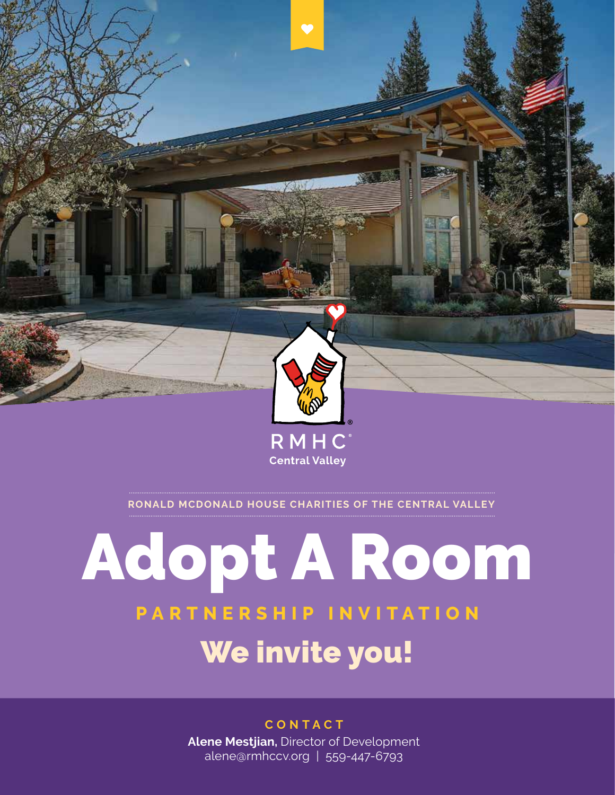

**RONALD MCDONALD HOUSE CHARITIES OF THE CENTRAL VALLEY**

### Adopt A Room **PARTNERSHIP INVITATION** We invite you!

#### **CONTACT**

**Alene Mestjian,** Director of Development alene@rmhccv.org | 559-447-6793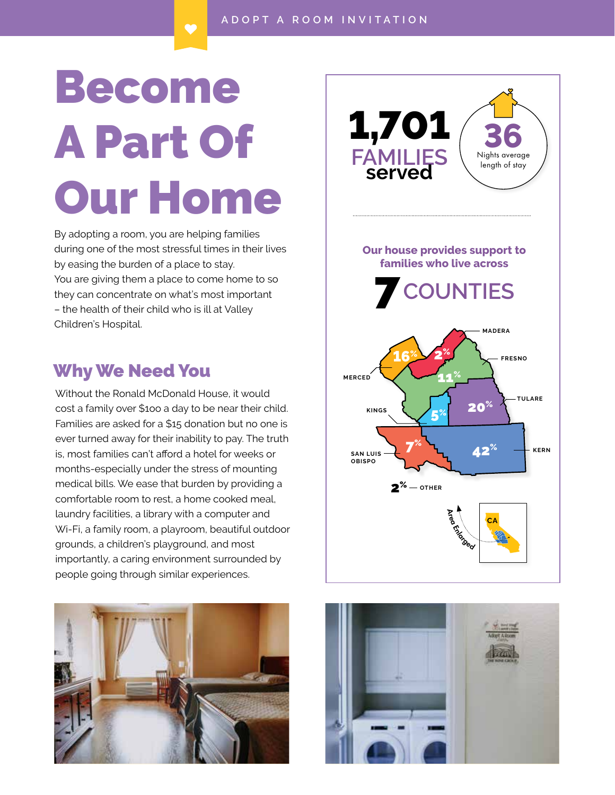# Become A Part Of Our Home

By adopting a room, you are helping families during one of the most stressful times in their lives by easing the burden of a place to stay. You are giving them a place to come home to so they can concentrate on what's most important – the health of their child who is ill at Valley Children's Hospital.

#### Why We Need You

Without the Ronald McDonald House, it would cost a family over \$1oo a day to be near their child. Families are asked for a \$15 donation but no one is ever turned away for their inability to pay. The truth is, most families can't afford a hotel for weeks or months-especially under the stress of mounting medical bills. We ease that burden by providing a comfortable room to rest, a home cooked meal, laundry facilities, a library with a computer and Wi-Fi, a family room, a playroom, beautiful outdoor grounds, a children's playground, and most importantly, a caring environment surrounded by people going through similar experiences.





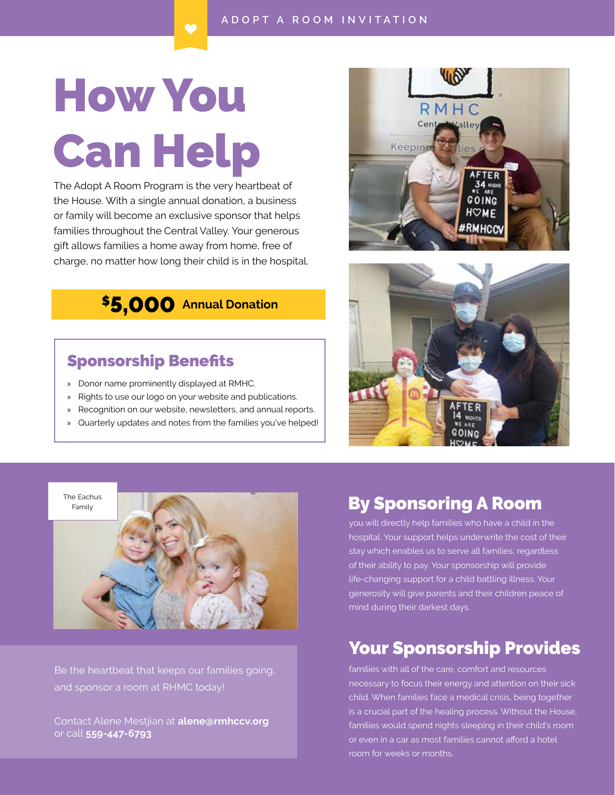## How You Can Help

The Adopt A Room Program is the very heartbeat of the House. With a single annual donation, a business or family will become an exclusive sponsor that helps families throughout the Central Valley. Your generous gift allows families a home away from home, free of charge, no matter how long their child is in the hospital.

#### \$5,000 **Annual Donation**

#### Sponsorship Benefits

- » Donor name prominently displayed at RMHC.
- » Rights to use our logo on your website and publications.
- » Recognition on our website, newsletters, and annual reports.
- » Quarterly updates and notes from the families you've helped!







Be the heartbeat that keeps our families going, and sponsor a room at RHMC today!

Contact Alene Mestjian at **alene@rmhccv.org** or call **559-447-6793**

#### By Sponsoring A Room

you will directly help families who have a child in the hospital. Your support helps underwrite the cost of their stay which enables us to serve all families, regardless of their ability to pay. Your sponsorship will provide life-changing support for a child battling illness. Your generosity will give parents and their children peace of mind during their darkest days.

#### Your Sponsorship Provides

families with all of the care, comfort and resources necessary to focus their energy and attention on their sick child. When families face a medical crisis, being together is a crucial part of the healing process. Without the House, families would spend nights sleeping in their child's room or even in a car as most families cannot afford a hotel room for weeks or months.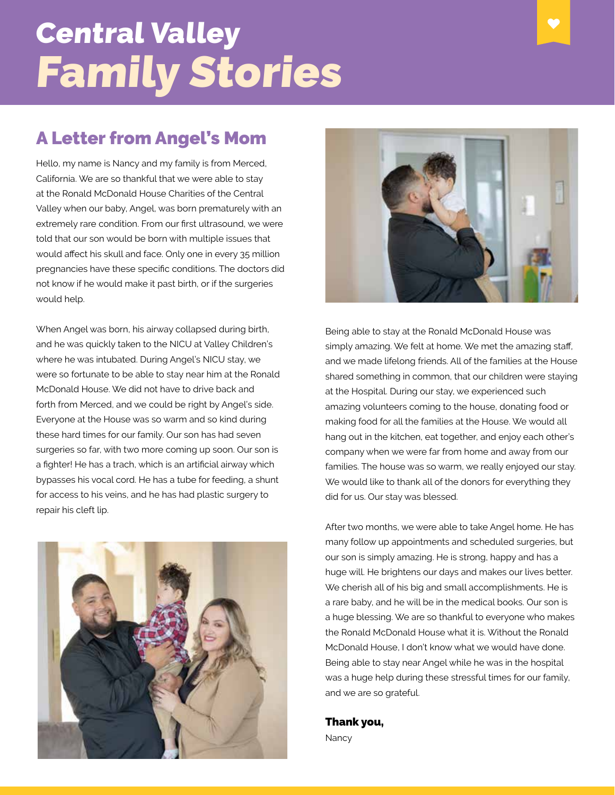### Central Valley Family Stories

#### A Letter from Angel's Mom

Hello, my name is Nancy and my family is from Merced, California. We are so thankful that we were able to stay at the Ronald McDonald House Charities of the Central Valley when our baby, Angel, was born prematurely with an extremely rare condition. From our first ultrasound, we were told that our son would be born with multiple issues that would affect his skull and face. Only one in every 35 million pregnancies have these specific conditions. The doctors did not know if he would make it past birth, or if the surgeries would help.

When Angel was born, his airway collapsed during birth, and he was quickly taken to the NICU at Valley Children's where he was intubated. During Angel's NICU stay, we were so fortunate to be able to stay near him at the Ronald McDonald House. We did not have to drive back and forth from Merced, and we could be right by Angel's side. Everyone at the House was so warm and so kind during these hard times for our family. Our son has had seven surgeries so far, with two more coming up soon. Our son is a fighter! He has a trach, which is an artificial airway which bypasses his vocal cord. He has a tube for feeding, a shunt for access to his veins, and he has had plastic surgery to repair his cleft lip.





Being able to stay at the Ronald McDonald House was simply amazing. We felt at home. We met the amazing staff, and we made lifelong friends. All of the families at the House shared something in common, that our children were staying at the Hospital. During our stay, we experienced such amazing volunteers coming to the house, donating food or making food for all the families at the House. We would all hang out in the kitchen, eat together, and enjoy each other's company when we were far from home and away from our families. The house was so warm, we really enjoyed our stay. We would like to thank all of the donors for everything they did for us. Our stay was blessed.

After two months, we were able to take Angel home. He has many follow up appointments and scheduled surgeries, but our son is simply amazing. He is strong, happy and has a huge will. He brightens our days and makes our lives better. We cherish all of his big and small accomplishments. He is a rare baby, and he will be in the medical books. Our son is a huge blessing. We are so thankful to everyone who makes the Ronald McDonald House what it is. Without the Ronald McDonald House, I don't know what we would have done. Being able to stay near Angel while he was in the hospital was a huge help during these stressful times for our family, and we are so grateful.

Thank you, **Nancy**